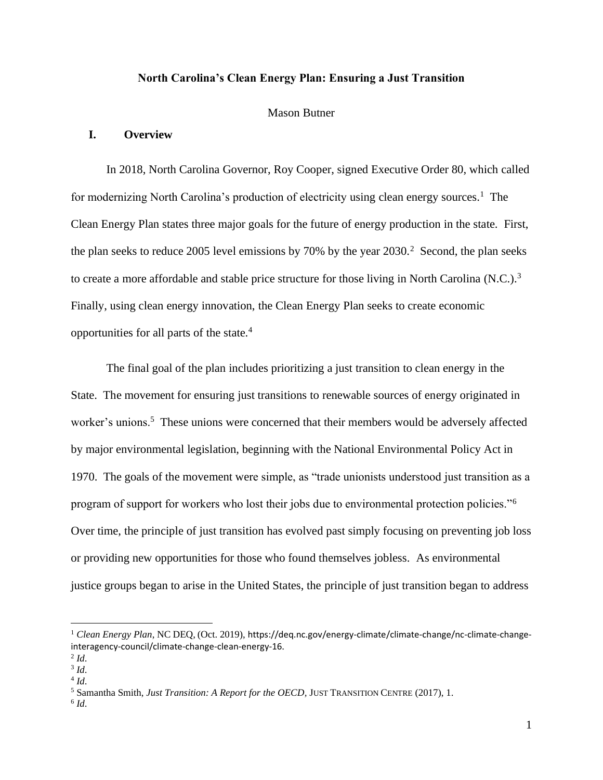### **North Carolina's Clean Energy Plan: Ensuring a Just Transition**

#### Mason Butner

## **I. Overview**

In 2018, North Carolina Governor, Roy Cooper, signed Executive Order 80, which called for modernizing North Carolina's production of electricity using clean energy sources.<sup>1</sup> The Clean Energy Plan states three major goals for the future of energy production in the state. First, the plan seeks to reduce 2005 level emissions by  $70\%$  by the year  $2030$ .<sup>2</sup> Second, the plan seeks to create a more affordable and stable price structure for those living in North Carolina (N.C.).<sup>3</sup> Finally, using clean energy innovation, the Clean Energy Plan seeks to create economic opportunities for all parts of the state.<sup>4</sup>

The final goal of the plan includes prioritizing a just transition to clean energy in the State. The movement for ensuring just transitions to renewable sources of energy originated in worker's unions.<sup>5</sup> These unions were concerned that their members would be adversely affected by major environmental legislation, beginning with the National Environmental Policy Act in 1970. The goals of the movement were simple, as "trade unionists understood just transition as a program of support for workers who lost their jobs due to environmental protection policies."<sup>6</sup> Over time, the principle of just transition has evolved past simply focusing on preventing job loss or providing new opportunities for those who found themselves jobless. As environmental justice groups began to arise in the United States, the principle of just transition began to address

<sup>&</sup>lt;sup>1</sup> Clean Energy Plan, NC DEQ, (Oct. 2019), https://deq.nc.gov/energy-climate/climate-change/nc-climate-changeinteragency-council/climate-change-clean-energy-16.

<sup>2</sup> *Id*.

<sup>3</sup> *Id*.

<sup>4</sup> *Id*.

<sup>5</sup> Samantha Smith, *Just Transition: A Report for the OECD,* JUST TRANSITION CENTRE (2017), 1.

<sup>6</sup> *Id*.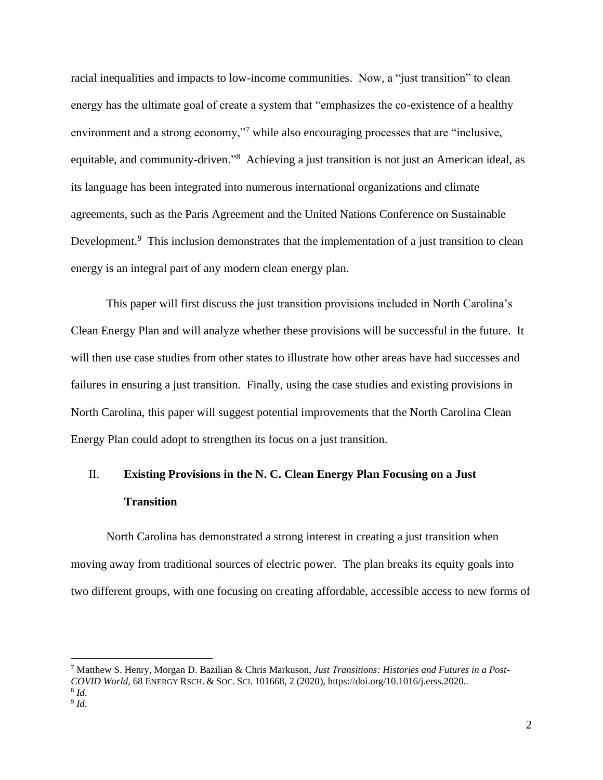racial inequalities and impacts to low-income communities. Now, a "just transition" to clean energy has the ultimate goal of create a system that "emphasizes the co-existence of a healthy environment and a strong economy,"<sup>7</sup> while also encouraging processes that are "inclusive, equitable, and community-driven."<sup>8</sup> Achieving a just transition is not just an American ideal, as its language has been integrated into numerous international organizations and climate agreements, such as the Paris Agreement and the United Nations Conference on Sustainable Development.<sup>9</sup> This inclusion demonstrates that the implementation of a just transition to clean energy is an integral part of any modern clean energy plan.

This paper will first discuss the just transition provisions included in North Carolina's Clean Energy Plan and will analyze whether these provisions will be successful in the future. It will then use case studies from other states to illustrate how other areas have had successes and failures in ensuring a just transition. Finally, using the case studies and existing provisions in North Carolina, this paper will suggest potential improvements that the North Carolina Clean Energy Plan could adopt to strengthen its focus on a just transition.

# II. **Existing Provisions in the N. C. Clean Energy Plan Focusing on a Just Transition**

North Carolina has demonstrated a strong interest in creating a just transition when moving away from traditional sources of electric power. The plan breaks its equity goals into two different groups, with one focusing on creating affordable, accessible access to new forms of

<sup>7</sup> Matthew S. Henry, Morgan D. Bazilian & Chris Markuson, *Just Transitions: Histories and Futures in a Post-COVID World*, 68 ENERGY RSCH. & SOC.SCI. 101668, 2 (2020), https://doi.org/10.1016/j.erss.2020..

<sup>8</sup> *Id*. 9 *Id*.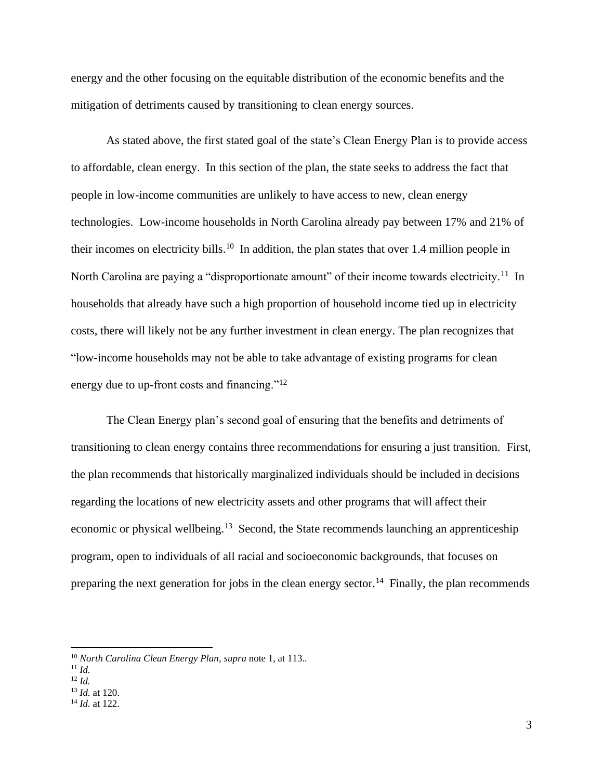energy and the other focusing on the equitable distribution of the economic benefits and the mitigation of detriments caused by transitioning to clean energy sources.

As stated above, the first stated goal of the state's Clean Energy Plan is to provide access to affordable, clean energy. In this section of the plan, the state seeks to address the fact that people in low-income communities are unlikely to have access to new, clean energy technologies. Low-income households in North Carolina already pay between 17% and 21% of their incomes on electricity bills.<sup>10</sup> In addition, the plan states that over 1.4 million people in North Carolina are paying a "disproportionate amount" of their income towards electricity.<sup>11</sup> In households that already have such a high proportion of household income tied up in electricity costs, there will likely not be any further investment in clean energy. The plan recognizes that "low-income households may not be able to take advantage of existing programs for clean energy due to up-front costs and financing."<sup>12</sup>

The Clean Energy plan's second goal of ensuring that the benefits and detriments of transitioning to clean energy contains three recommendations for ensuring a just transition. First, the plan recommends that historically marginalized individuals should be included in decisions regarding the locations of new electricity assets and other programs that will affect their economic or physical wellbeing.<sup>13</sup> Second, the State recommends launching an apprenticeship program, open to individuals of all racial and socioeconomic backgrounds, that focuses on preparing the next generation for jobs in the clean energy sector.<sup>14</sup> Finally, the plan recommends

<sup>10</sup> *North Carolina Clean Energy Plan*, *supra* note 1, at 113.*.*

 $11 \, H$ 

<sup>12</sup> *Id.*

<sup>13</sup> *Id.* at 120.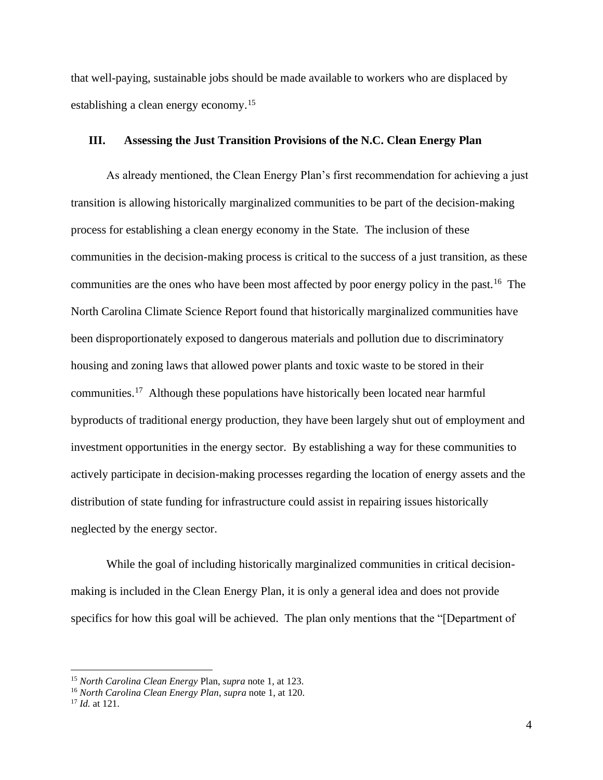that well-paying, sustainable jobs should be made available to workers who are displaced by establishing a clean energy economy.<sup>15</sup>

### **III. Assessing the Just Transition Provisions of the N.C. Clean Energy Plan**

As already mentioned, the Clean Energy Plan's first recommendation for achieving a just transition is allowing historically marginalized communities to be part of the decision-making process for establishing a clean energy economy in the State. The inclusion of these communities in the decision-making process is critical to the success of a just transition, as these communities are the ones who have been most affected by poor energy policy in the past.<sup>16</sup> The North Carolina Climate Science Report found that historically marginalized communities have been disproportionately exposed to dangerous materials and pollution due to discriminatory housing and zoning laws that allowed power plants and toxic waste to be stored in their communities.<sup>17</sup> Although these populations have historically been located near harmful byproducts of traditional energy production, they have been largely shut out of employment and investment opportunities in the energy sector. By establishing a way for these communities to actively participate in decision-making processes regarding the location of energy assets and the distribution of state funding for infrastructure could assist in repairing issues historically neglected by the energy sector.

While the goal of including historically marginalized communities in critical decisionmaking is included in the Clean Energy Plan, it is only a general idea and does not provide specifics for how this goal will be achieved. The plan only mentions that the "[Department of

<sup>15</sup> *North Carolina Clean Energy* Plan, *supra* note 1, at 123.

<sup>16</sup> *North Carolina Clean Energy Plan*, *supra* note 1, at 120.

<sup>17</sup> *Id.* at 121.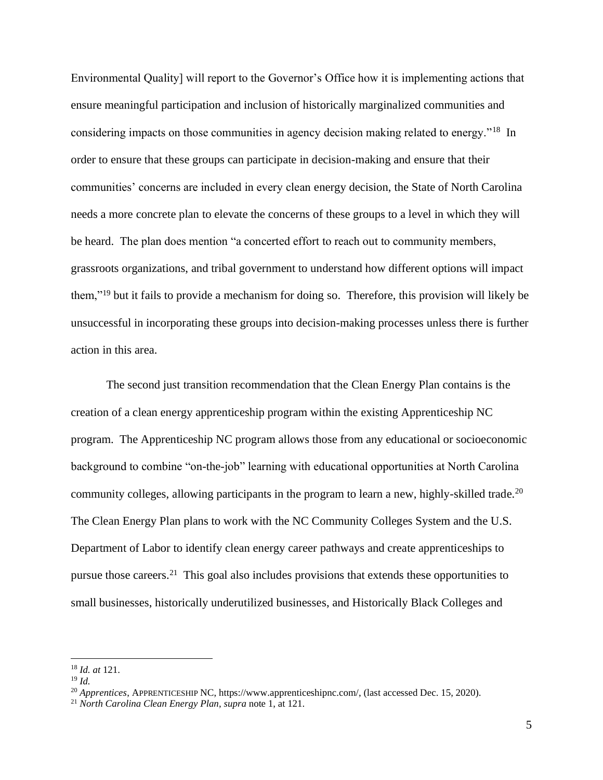Environmental Quality] will report to the Governor's Office how it is implementing actions that ensure meaningful participation and inclusion of historically marginalized communities and considering impacts on those communities in agency decision making related to energy."<sup>18</sup> In order to ensure that these groups can participate in decision-making and ensure that their communities' concerns are included in every clean energy decision, the State of North Carolina needs a more concrete plan to elevate the concerns of these groups to a level in which they will be heard. The plan does mention "a concerted effort to reach out to community members, grassroots organizations, and tribal government to understand how different options will impact them,"<sup>19</sup> but it fails to provide a mechanism for doing so. Therefore, this provision will likely be unsuccessful in incorporating these groups into decision-making processes unless there is further action in this area.

The second just transition recommendation that the Clean Energy Plan contains is the creation of a clean energy apprenticeship program within the existing Apprenticeship NC program. The Apprenticeship NC program allows those from any educational or socioeconomic background to combine "on-the-job" learning with educational opportunities at North Carolina community colleges, allowing participants in the program to learn a new, highly-skilled trade.<sup>20</sup> The Clean Energy Plan plans to work with the NC Community Colleges System and the U.S. Department of Labor to identify clean energy career pathways and create apprenticeships to pursue those careers.<sup>21</sup> This goal also includes provisions that extends these opportunities to small businesses, historically underutilized businesses, and Historically Black Colleges and

<sup>18</sup> *Id. at* 121.

<sup>19</sup> *Id.*

<sup>20</sup> *Apprentices*, APPRENTICESHIP NC, https://www.apprenticeshipnc.com/, (last accessed Dec. 15, 2020).

<sup>21</sup> *North Carolina Clean Energy Plan*, *supra* note 1, at 121.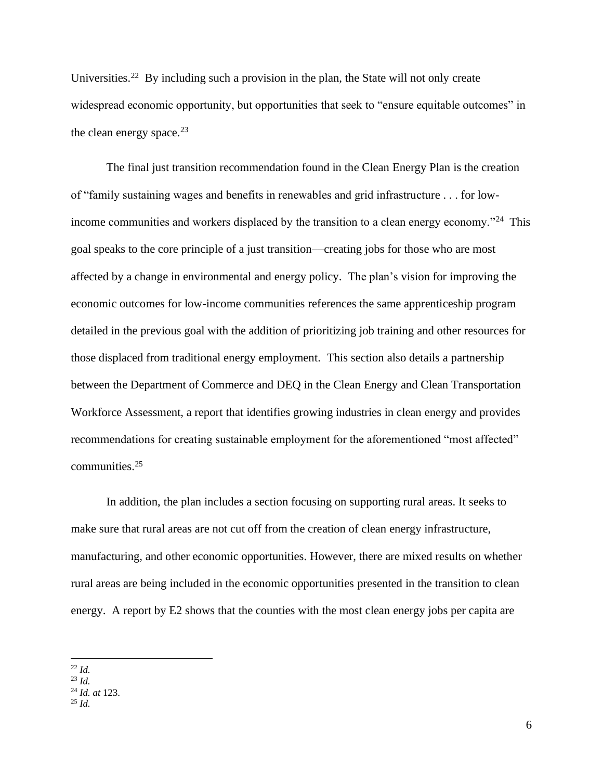Universities.<sup>22</sup> By including such a provision in the plan, the State will not only create widespread economic opportunity, but opportunities that seek to "ensure equitable outcomes" in the clean energy space. $23$ 

The final just transition recommendation found in the Clean Energy Plan is the creation of "family sustaining wages and benefits in renewables and grid infrastructure . . . for lowincome communities and workers displaced by the transition to a clean energy economy."<sup>24</sup> This goal speaks to the core principle of a just transition––creating jobs for those who are most affected by a change in environmental and energy policy. The plan's vision for improving the economic outcomes for low-income communities references the same apprenticeship program detailed in the previous goal with the addition of prioritizing job training and other resources for those displaced from traditional energy employment. This section also details a partnership between the Department of Commerce and DEQ in the Clean Energy and Clean Transportation Workforce Assessment, a report that identifies growing industries in clean energy and provides recommendations for creating sustainable employment for the aforementioned "most affected" communities.<sup>25</sup>

In addition, the plan includes a section focusing on supporting rural areas. It seeks to make sure that rural areas are not cut off from the creation of clean energy infrastructure, manufacturing, and other economic opportunities. However, there are mixed results on whether rural areas are being included in the economic opportunities presented in the transition to clean energy. A report by E2 shows that the counties with the most clean energy jobs per capita are

<sup>22</sup> *Id.*

<sup>23</sup> *Id.*

<sup>24</sup> *Id. at* 123.

<sup>25</sup> *Id.*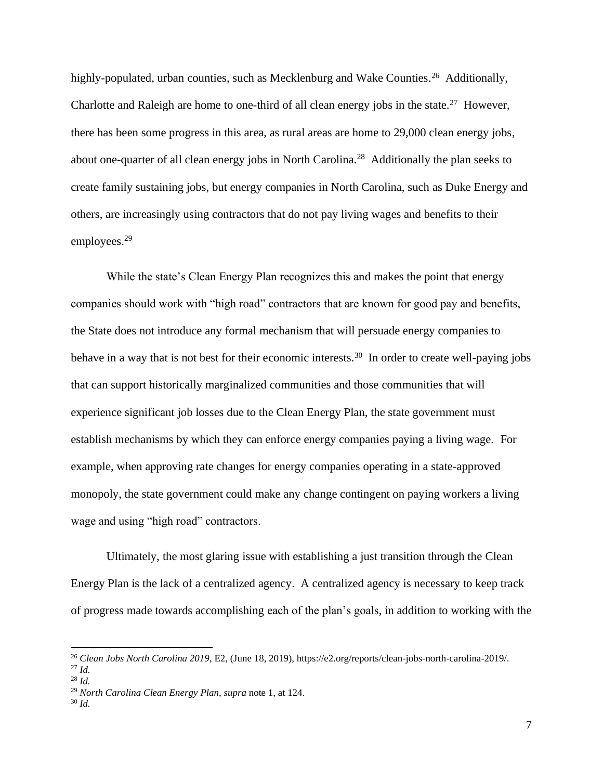highly-populated, urban counties, such as Mecklenburg and Wake Counties.<sup>26</sup> Additionally, Charlotte and Raleigh are home to one-third of all clean energy jobs in the state.<sup>27</sup> However, there has been some progress in this area, as rural areas are home to 29,000 clean energy jobs, about one-quarter of all clean energy jobs in North Carolina.<sup>28</sup> Additionally the plan seeks to create family sustaining jobs, but energy companies in North Carolina, such as Duke Energy and others, are increasingly using contractors that do not pay living wages and benefits to their employees.<sup>29</sup>

While the state's Clean Energy Plan recognizes this and makes the point that energy companies should work with "high road" contractors that are known for good pay and benefits, the State does not introduce any formal mechanism that will persuade energy companies to behave in a way that is not best for their economic interests.<sup>30</sup> In order to create well-paying jobs that can support historically marginalized communities and those communities that will experience significant job losses due to the Clean Energy Plan, the state government must establish mechanisms by which they can enforce energy companies paying a living wage. For example, when approving rate changes for energy companies operating in a state-approved monopoly, the state government could make any change contingent on paying workers a living wage and using "high road" contractors.

Ultimately, the most glaring issue with establishing a just transition through the Clean Energy Plan is the lack of a centralized agency. A centralized agency is necessary to keep track of progress made towards accomplishing each of the plan's goals, in addition to working with the

<sup>26</sup> *Clean Jobs North Carolina 2019*, E2, (June 18, 2019), https://e2.org/reports/clean-jobs-north-carolina-2019/. <sup>27</sup> *Id.*

<sup>28</sup> *Id.*

<sup>29</sup> *North Carolina Clean Energy Plan*, *supra* note 1, at 124.

<sup>30</sup> *Id.*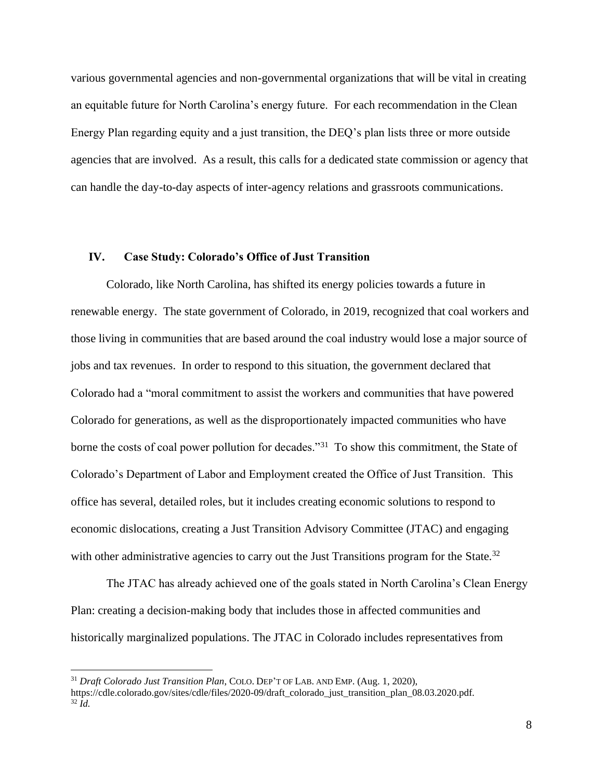various governmental agencies and non-governmental organizations that will be vital in creating an equitable future for North Carolina's energy future. For each recommendation in the Clean Energy Plan regarding equity and a just transition, the DEQ's plan lists three or more outside agencies that are involved. As a result, this calls for a dedicated state commission or agency that can handle the day-to-day aspects of inter-agency relations and grassroots communications.

### **IV. Case Study: Colorado's Office of Just Transition**

Colorado, like North Carolina, has shifted its energy policies towards a future in renewable energy. The state government of Colorado, in 2019, recognized that coal workers and those living in communities that are based around the coal industry would lose a major source of jobs and tax revenues. In order to respond to this situation, the government declared that Colorado had a "moral commitment to assist the workers and communities that have powered Colorado for generations, as well as the disproportionately impacted communities who have borne the costs of coal power pollution for decades."<sup>31</sup> To show this commitment, the State of Colorado's Department of Labor and Employment created the Office of Just Transition. This office has several, detailed roles, but it includes creating economic solutions to respond to economic dislocations, creating a Just Transition Advisory Committee (JTAC) and engaging with other administrative agencies to carry out the Just Transitions program for the State.<sup>32</sup>

The JTAC has already achieved one of the goals stated in North Carolina's Clean Energy Plan: creating a decision-making body that includes those in affected communities and historically marginalized populations. The JTAC in Colorado includes representatives from

<sup>31</sup> *Draft Colorado Just Transition Plan*, COLO. DEP'T OF LAB. AND EMP. (Aug. 1, 2020), https://cdle.colorado.gov/sites/cdle/files/2020-09/draft\_colorado\_just\_transition\_plan\_08.03.2020.pdf.  $32 \tilde{I}$ d.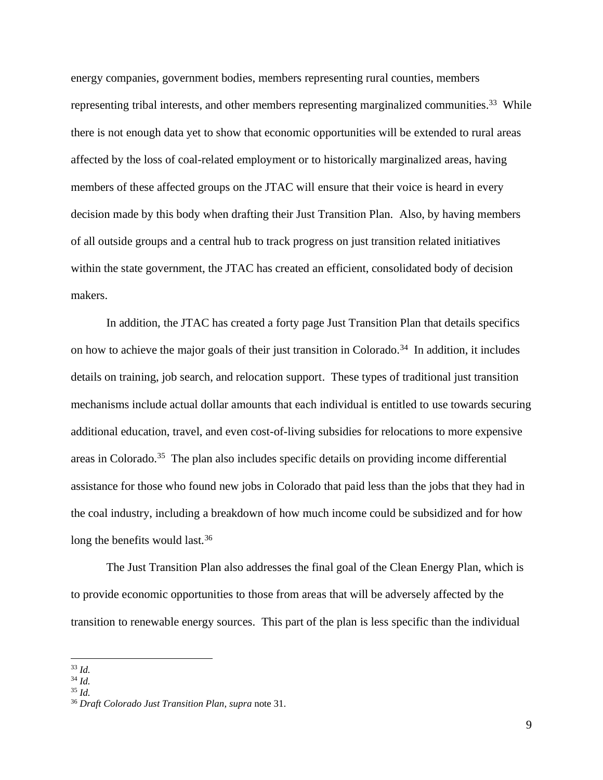energy companies, government bodies, members representing rural counties, members representing tribal interests, and other members representing marginalized communities.<sup>33</sup> While there is not enough data yet to show that economic opportunities will be extended to rural areas affected by the loss of coal-related employment or to historically marginalized areas, having members of these affected groups on the JTAC will ensure that their voice is heard in every decision made by this body when drafting their Just Transition Plan. Also, by having members of all outside groups and a central hub to track progress on just transition related initiatives within the state government, the JTAC has created an efficient, consolidated body of decision makers.

In addition, the JTAC has created a forty page Just Transition Plan that details specifics on how to achieve the major goals of their just transition in Colorado.<sup>34</sup> In addition, it includes details on training, job search, and relocation support. These types of traditional just transition mechanisms include actual dollar amounts that each individual is entitled to use towards securing additional education, travel, and even cost-of-living subsidies for relocations to more expensive areas in Colorado.<sup>35</sup> The plan also includes specific details on providing income differential assistance for those who found new jobs in Colorado that paid less than the jobs that they had in the coal industry, including a breakdown of how much income could be subsidized and for how long the benefits would last.<sup>36</sup>

The Just Transition Plan also addresses the final goal of the Clean Energy Plan, which is to provide economic opportunities to those from areas that will be adversely affected by the transition to renewable energy sources. This part of the plan is less specific than the individual

<sup>33</sup> *Id.*

<sup>34</sup> *Id.*

<sup>35</sup> *Id.*

<sup>36</sup> *Draft Colorado Just Transition Plan*, *supra* note 31.